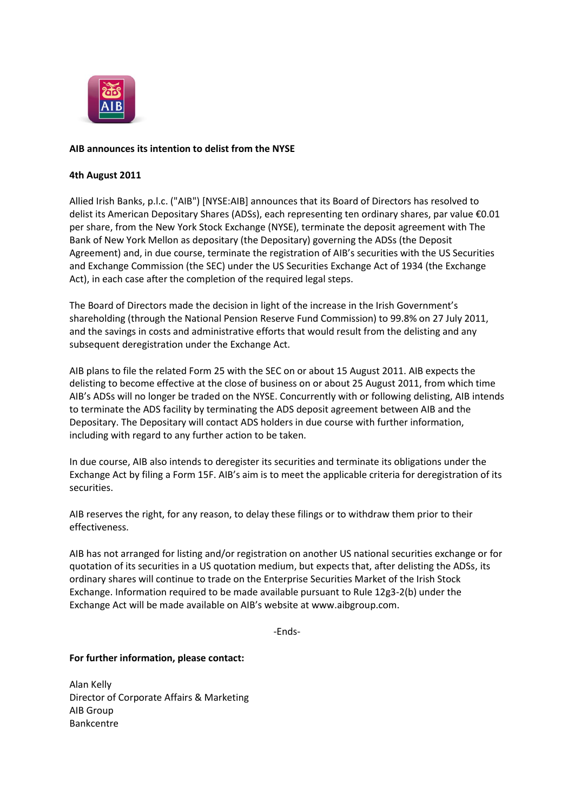

## **AIB announces its intention to delist from the NYSE**

## **4th August 2011**

Allied Irish Banks, p.l.c. ("AIB") [NYSE:AIB] announces that its Board of Directors has resolved to delist its American Depositary Shares (ADSs), each representing ten ordinary shares, par value €0.01 per share, from the New York Stock Exchange (NYSE), terminate the deposit agreement with The Bank of New York Mellon as depositary (the Depositary) governing the ADSs (the Deposit Agreement) and, in due course, terminate the registration of AIB's securities with the US Securities and Exchange Commission (the SEC) under the US Securities Exchange Act of 1934 (the Exchange Act), in each case after the completion of the required legal steps.

The Board of Directors made the decision in light of the increase in the Irish Government's shareholding (through the National Pension Reserve Fund Commission) to 99.8% on 27 July 2011, and the savings in costs and administrative efforts that would result from the delisting and any subsequent deregistration under the Exchange Act.

AIB plans to file the related Form 25 with the SEC on or about 15 August 2011. AIB expects the delisting to become effective at the close of business on or about 25 August 2011, from which time AIB's ADSs will no longer be traded on the NYSE. Concurrently with or following delisting, AIB intends to terminate the ADS facility by terminating the ADS deposit agreement between AIB and the Depositary. The Depositary will contact ADS holders in due course with further information, including with regard to any further action to be taken.

In due course, AIB also intends to deregister its securities and terminate its obligations under the Exchange Act by filing a Form 15F. AIB's aim is to meet the applicable criteria for deregistration of its securities.

AIB reserves the right, for any reason, to delay these filings or to withdraw them prior to their effectiveness.

AIB has not arranged for listing and/or registration on another US national securities exchange or for quotation of its securities in a US quotation medium, but expects that, after delisting the ADSs, its ordinary shares will continue to trade on the Enterprise Securities Market of the Irish Stock Exchange. Information required to be made available pursuant to Rule 12g3-2(b) under the Exchange Act will be made available on AIB's website at www.aibgroup.com.

-Ends-

## **For further information, please contact:**

Alan Kelly Director of Corporate Affairs & Marketing AIB Group Bankcentre